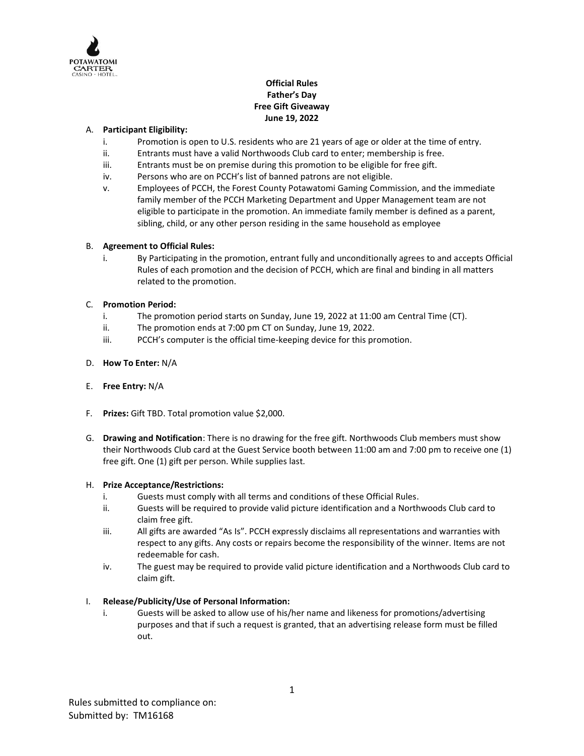

# **Official Rules Father's Day Free Gift Giveaway June 19, 2022**

## A. **Participant Eligibility:**

- i. Promotion is open to U.S. residents who are 21 years of age or older at the time of entry.
- ii. Entrants must have a valid Northwoods Club card to enter; membership is free.
- iii. Entrants must be on premise during this promotion to be eligible for free gift.
- iv. Persons who are on PCCH's list of banned patrons are not eligible.
- v. Employees of PCCH, the Forest County Potawatomi Gaming Commission, and the immediate family member of the PCCH Marketing Department and Upper Management team are not eligible to participate in the promotion. An immediate family member is defined as a parent, sibling, child, or any other person residing in the same household as employee

### B. **Agreement to Official Rules:**

i. By Participating in the promotion, entrant fully and unconditionally agrees to and accepts Official Rules of each promotion and the decision of PCCH, which are final and binding in all matters related to the promotion.

### C. **Promotion Period:**

- i. The promotion period starts on Sunday, June 19, 2022 at 11:00 am Central Time (CT).
- ii. The promotion ends at 7:00 pm CT on Sunday, June 19, 2022.
- iii. PCCH's computer is the official time-keeping device for this promotion.

### D. **How To Enter:** N/A

- E. **Free Entry:** N/A
- F. **Prizes:** Gift TBD. Total promotion value \$2,000.
- G. **Drawing and Notification**: There is no drawing for the free gift. Northwoods Club members must show their Northwoods Club card at the Guest Service booth between 11:00 am and 7:00 pm to receive one (1) free gift. One (1) gift per person. While supplies last.

### H. **Prize Acceptance/Restrictions:**

- i. Guests must comply with all terms and conditions of these Official Rules.
- ii. Guests will be required to provide valid picture identification and a Northwoods Club card to claim free gift.
- iii. All gifts are awarded "As Is". PCCH expressly disclaims all representations and warranties with respect to any gifts. Any costs or repairs become the responsibility of the winner. Items are not redeemable for cash.
- iv. The guest may be required to provide valid picture identification and a Northwoods Club card to claim gift.

### I. **Release/Publicity/Use of Personal Information:**

i. Guests will be asked to allow use of his/her name and likeness for promotions/advertising purposes and that if such a request is granted, that an advertising release form must be filled out.